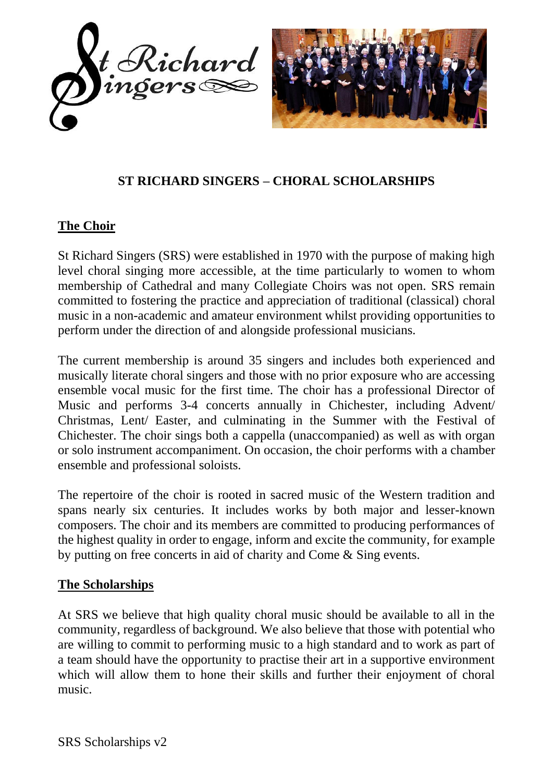



## **ST RICHARD SINGERS – CHORAL SCHOLARSHIPS**

## **The Choir**

St Richard Singers (SRS) were established in 1970 with the purpose of making high level choral singing more accessible, at the time particularly to women to whom membership of Cathedral and many Collegiate Choirs was not open. SRS remain committed to fostering the practice and appreciation of traditional (classical) choral music in a non-academic and amateur environment whilst providing opportunities to perform under the direction of and alongside professional musicians.

The current membership is around 35 singers and includes both experienced and musically literate choral singers and those with no prior exposure who are accessing ensemble vocal music for the first time. The choir has a professional Director of Music and performs 3-4 concerts annually in Chichester, including Advent/ Christmas, Lent/ Easter, and culminating in the Summer with the Festival of Chichester. The choir sings both a cappella (unaccompanied) as well as with organ or solo instrument accompaniment. On occasion, the choir performs with a chamber ensemble and professional soloists.

The repertoire of the choir is rooted in sacred music of the Western tradition and spans nearly six centuries. It includes works by both major and lesser-known composers. The choir and its members are committed to producing performances of the highest quality in order to engage, inform and excite the community, for example by putting on free concerts in aid of charity and Come & Sing events.

## **The Scholarships**

At SRS we believe that high quality choral music should be available to all in the community, regardless of background. We also believe that those with potential who are willing to commit to performing music to a high standard and to work as part of a team should have the opportunity to practise their art in a supportive environment which will allow them to hone their skills and further their enjoyment of choral music.